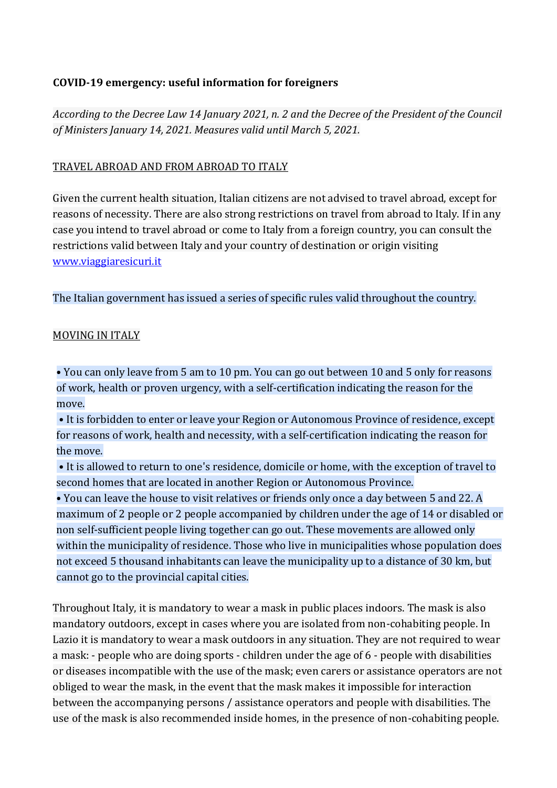# **COVID-19 emergency: useful information for foreigners**

*According to the Decree Law 14 January 2021, n. 2 and the Decree of the President of the Council of Ministers January 14, 2021. Measures valid until March 5, 2021.*

## TRAVEL ABROAD AND FROM ABROAD TO ITALY

Given the current health situation, Italian citizens are not advised to travel abroad, except for reasons of necessity. There are also strong restrictions on travel from abroad to Italy. If in any case you intend to travel abroad or come to Italy from a foreign country, you can consult the restrictions valid between Italy and your country of destination or origin visiting [www.viaggiaresicuri.it](http://www.viaggiaresicuri.it/)

The Italian government has issued a series of specific rules valid throughout the country.

## MOVING IN ITALY

• You can only leave from 5 am to 10 pm. You can go out between 10 and 5 only for reasons of work, health or proven urgency, with a self-certification indicating the reason for the move.

• It is forbidden to enter or leave your Region or Autonomous Province of residence, except for reasons of work, health and necessity, with a self-certification indicating the reason for the move.

• It is allowed to return to one's residence, domicile or home, with the exception of travel to second homes that are located in another Region or Autonomous Province.

• You can leave the house to visit relatives or friends only once a day between 5 and 22. A maximum of 2 people or 2 people accompanied by children under the age of 14 or disabled or non self-sufficient people living together can go out. These movements are allowed only within the municipality of residence. Those who live in municipalities whose population does not exceed 5 thousand inhabitants can leave the municipality up to a distance of 30 km, but cannot go to the provincial capital cities.

Throughout Italy, it is mandatory to wear a mask in public places indoors. The mask is also mandatory outdoors, except in cases where you are isolated from non-cohabiting people. In Lazio it is mandatory to wear a mask outdoors in any situation. They are not required to wear a mask: - people who are doing sports - children under the age of 6 - people with disabilities or diseases incompatible with the use of the mask; even carers or assistance operators are not obliged to wear the mask, in the event that the mask makes it impossible for interaction between the accompanying persons / assistance operators and people with disabilities. The use of the mask is also recommended inside homes, in the presence of non-cohabiting people.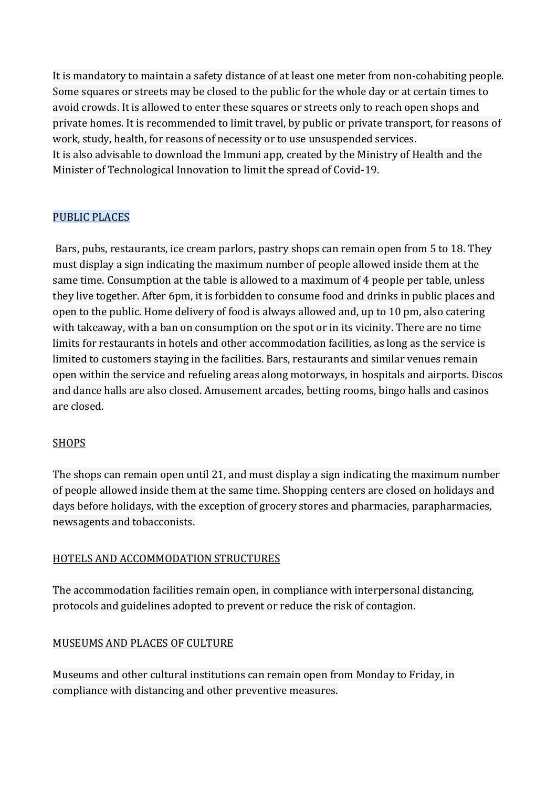It is mandatory to maintain a safety distance of at least one meter from non-cohabiting people. Some squares or streets may be closed to the public for the whole day or at certain times to avoid crowds. It is allowed to enter these squares or streets only to reach open shops and private homes. It is recommended to limit travel, by public or private transport, for reasons of work, study, health, for reasons of necessity or to use unsuspended services. It is also advisable to download the Immuni app, created by the Ministry of Health and the Minister of Technological Innovation to limit the spread of Covid-19.

# PUBLIC PLACES

Bars, pubs, restaurants, ice cream parlors, pastry shops can remain open from 5 to 18. They must display a sign indicating the maximum number of people allowed inside them at the same time. Consumption at the table is allowed to a maximum of 4 people per table, unless they live together. After 6pm, it is forbidden to consume food and drinks in public places and open to the public. Home delivery of food is always allowed and, up to 10 pm, also catering with takeaway, with a ban on consumption on the spot or in its vicinity. There are no time limits for restaurants in hotels and other accommodation facilities, as long as the service is limited to customers staying in the facilities. Bars, restaurants and similar venues remain open within the service and refueling areas along motorways, in hospitals and airports. Discos and dance halls are also closed. Amusement arcades, betting rooms, bingo halls and casinos are closed.

# SHOPS

The shops can remain open until 21, and must display a sign indicating the maximum number of people allowed inside them at the same time. Shopping centers are closed on holidays and days before holidays, with the exception of grocery stores and pharmacies, parapharmacies, newsagents and tobacconists.

## HOTELS AND ACCOMMODATION STRUCTURES

The accommodation facilities remain open, in compliance with interpersonal distancing, protocols and guidelines adopted to prevent or reduce the risk of contagion.

# MUSEUMS AND PLACES OF CULTURE

Museums and other cultural institutions can remain open from Monday to Friday, in compliance with distancing and other preventive measures.